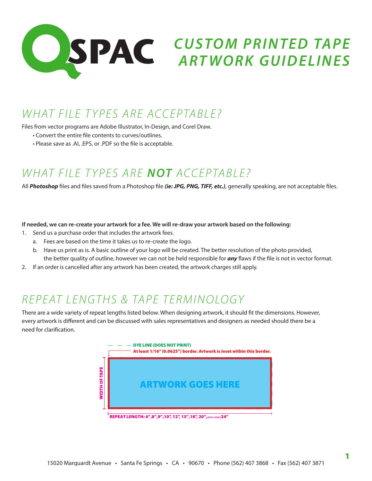

### *WHAT FILE TYPES ARE ACCEPTABLE?*

Files from vector programs are Adobe Illustrator, In-Design, and Corel Draw.

- Convert the entire file contents to curves/outlines.
- Please save as .AI, .EPS, or .PDF so the file is acceptable.

# *WHAT FILE TYPES ARE NOT ACCEPTABLE?*

All *Photoshop* files and files saved from a Photoshop file *(ie: JPG, PNG, TIFF, etc.)*, generally speaking, are not acceptable files.

#### **If needed, we can re-create your artwork for a fee. We will re-draw your artwork based on the following:**

- 1. Send us a purchase order that includes the artwork fees.
	- a. Fees are based on the time it takes us to re-create the logo.
	- b. Have us print as is. A basic outline of your logo will be created. The better resolution of the photo provided, the better quality of outline, however we can not be held responsible for *any* flaws if the file is not in vector format.
- 2. If an order is cancelled after any artwork has been created, the artwork charges still apply.

#### *REPEAT LENGTHS & TAPE TERMINOLOGY*

There are a wide variety of repeat lengths listed below. When designing artwork, it should fit the dimensions. However, every artwork is different and can be discussed with sales representatives and designers as needed should there be a need for clarification.



REPEAT LENGTH: 6", 8", 9", 10", 12", 15", 18", 20", *(one color)* 24"